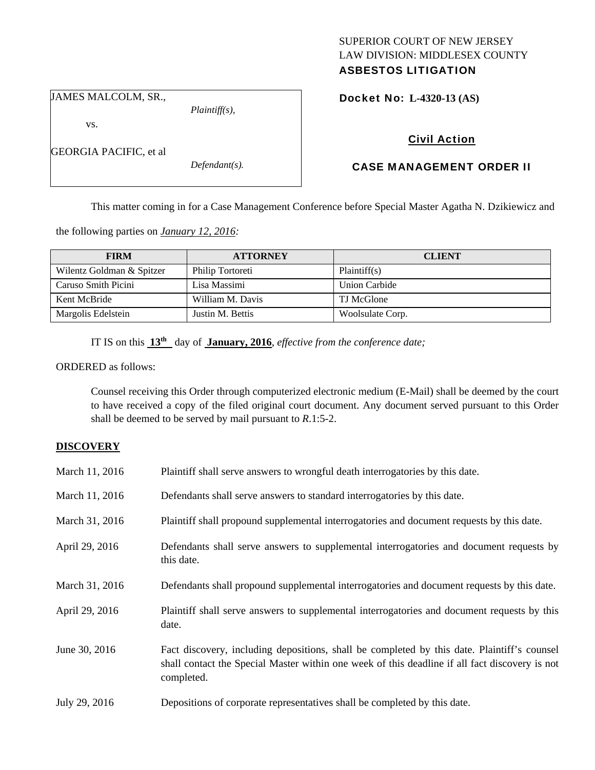# SUPERIOR COURT OF NEW JERSEY LAW DIVISION: MIDDLESEX COUNTY

# ASBESTOS LITIGATION

JAMES MALCOLM, SR.,

vs.

GEORGIA PACIFIC, et al

*Defendant(s).* 

*Plaintiff(s),* 

Docket No: **L-4320-13 (AS)** 

# Civil Action

# CASE MANAGEMENT ORDER II

This matter coming in for a Case Management Conference before Special Master Agatha N. Dzikiewicz and

the following parties on *January 12, 2016:* 

| <b>FIRM</b>               | <b>ATTORNEY</b>  | <b>CLIENT</b>        |
|---------------------------|------------------|----------------------|
| Wilentz Goldman & Spitzer | Philip Tortoreti | Plaintiff(s)         |
| Caruso Smith Picini       | Lisa Massimi     | <b>Union Carbide</b> |
| Kent McBride              | William M. Davis | TJ McGlone           |
| Margolis Edelstein        | Justin M. Bettis | Woolsulate Corp.     |

IT IS on this **13th** day of **January, 2016**, *effective from the conference date;*

ORDERED as follows:

Counsel receiving this Order through computerized electronic medium (E-Mail) shall be deemed by the court to have received a copy of the filed original court document. Any document served pursuant to this Order shall be deemed to be served by mail pursuant to *R*.1:5-2.

#### **DISCOVERY**

| March 11, 2016 | Plaintiff shall serve answers to wrongful death interrogatories by this date.                                                                                                                               |
|----------------|-------------------------------------------------------------------------------------------------------------------------------------------------------------------------------------------------------------|
| March 11, 2016 | Defendants shall serve answers to standard interrogatories by this date.                                                                                                                                    |
| March 31, 2016 | Plaintiff shall propound supplemental interrogatories and document requests by this date.                                                                                                                   |
| April 29, 2016 | Defendants shall serve answers to supplemental interrogatories and document requests by<br>this date.                                                                                                       |
| March 31, 2016 | Defendants shall propound supplemental interrogatories and document requests by this date.                                                                                                                  |
| April 29, 2016 | Plaintiff shall serve answers to supplemental interrogatories and document requests by this<br>date.                                                                                                        |
| June 30, 2016  | Fact discovery, including depositions, shall be completed by this date. Plaintiff's counsel<br>shall contact the Special Master within one week of this deadline if all fact discovery is not<br>completed. |
| July 29, 2016  | Depositions of corporate representatives shall be completed by this date.                                                                                                                                   |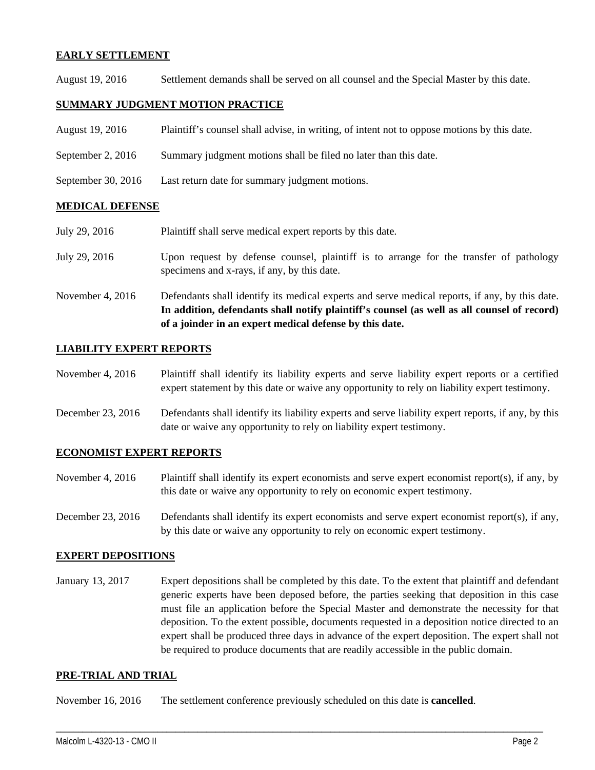## **EARLY SETTLEMENT**

August 19, 2016 Settlement demands shall be served on all counsel and the Special Master by this date.

## **SUMMARY JUDGMENT MOTION PRACTICE**

- August 19, 2016 Plaintiff's counsel shall advise, in writing, of intent not to oppose motions by this date.
- September 2, 2016 Summary judgment motions shall be filed no later than this date.
- September 30, 2016 Last return date for summary judgment motions.

## **MEDICAL DEFENSE**

- July 29, 2016 Plaintiff shall serve medical expert reports by this date.
- July 29, 2016 Upon request by defense counsel, plaintiff is to arrange for the transfer of pathology specimens and x-rays, if any, by this date.
- November 4, 2016 Defendants shall identify its medical experts and serve medical reports, if any, by this date. **In addition, defendants shall notify plaintiff's counsel (as well as all counsel of record) of a joinder in an expert medical defense by this date.**

## **LIABILITY EXPERT REPORTS**

- November 4, 2016 Plaintiff shall identify its liability experts and serve liability expert reports or a certified expert statement by this date or waive any opportunity to rely on liability expert testimony.
- December 23, 2016 Defendants shall identify its liability experts and serve liability expert reports, if any, by this date or waive any opportunity to rely on liability expert testimony.

#### **ECONOMIST EXPERT REPORTS**

- November 4, 2016 Plaintiff shall identify its expert economists and serve expert economist report(s), if any, by this date or waive any opportunity to rely on economic expert testimony.
- December 23, 2016 Defendants shall identify its expert economists and serve expert economist report(s), if any, by this date or waive any opportunity to rely on economic expert testimony.

#### **EXPERT DEPOSITIONS**

January 13, 2017 Expert depositions shall be completed by this date. To the extent that plaintiff and defendant generic experts have been deposed before, the parties seeking that deposition in this case must file an application before the Special Master and demonstrate the necessity for that deposition. To the extent possible, documents requested in a deposition notice directed to an expert shall be produced three days in advance of the expert deposition. The expert shall not be required to produce documents that are readily accessible in the public domain.

\_\_\_\_\_\_\_\_\_\_\_\_\_\_\_\_\_\_\_\_\_\_\_\_\_\_\_\_\_\_\_\_\_\_\_\_\_\_\_\_\_\_\_\_\_\_\_\_\_\_\_\_\_\_\_\_\_\_\_\_\_\_\_\_\_\_\_\_\_\_\_\_\_\_\_\_\_\_\_\_\_\_\_\_\_\_\_\_\_\_\_\_\_\_\_\_\_\_\_\_\_\_\_\_\_\_\_\_\_\_

#### **PRE-TRIAL AND TRIAL**

November 16, 2016 The settlement conference previously scheduled on this date is **cancelled**.